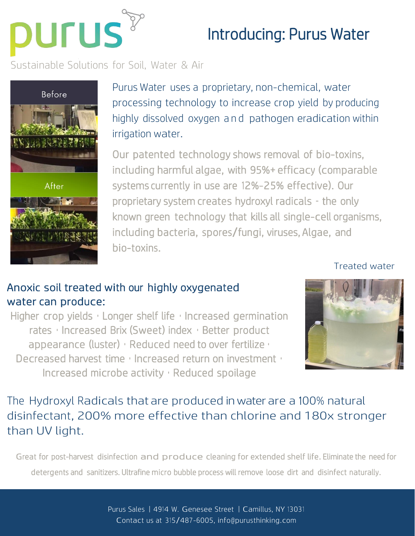

## Introducing: Purus Water

Sustainable Solutions for Soil, Water & Air



Purus Water uses a proprietary, non-chemical, water processing technology to increase crop yield by producing highly dissolved oxygen and pathogen eradication within irrigation water.

Our patented technology shows removal of bio-toxins, including harmful algae, with 95%+ efficacy (comparable systems currently in use are 12%-25% effective). Our proprietary system creates hydroxyl radicals – the only known green technology that kills all single-cell organisms, including bacteria, spores/fungi, viruses, Algae, and bio-toxins.

Treated water

## Anoxic soil treated with our highly oxygenated water can produce:

Higher crop yields • Longer shelf life • Increased germination rates • Increased Brix (Sweet) index • Better product appearance (luster) • Reduced need to over fertilize • Decreased harvest time • Increased return on investment • Increased microbe activity • Reduced spoilage



The Hydroxyl Radicals that are produced in water are a 100% natural disinfectant, 200% more effective than chlorine and 180x stronger than UV light.

Great for post-harvest disinfection and produce cleaning for extended shelf life. Eliminate the need for detergents and sanitizers. Ultrafine micro bubble process will remove loose dirt and disinfect naturally.